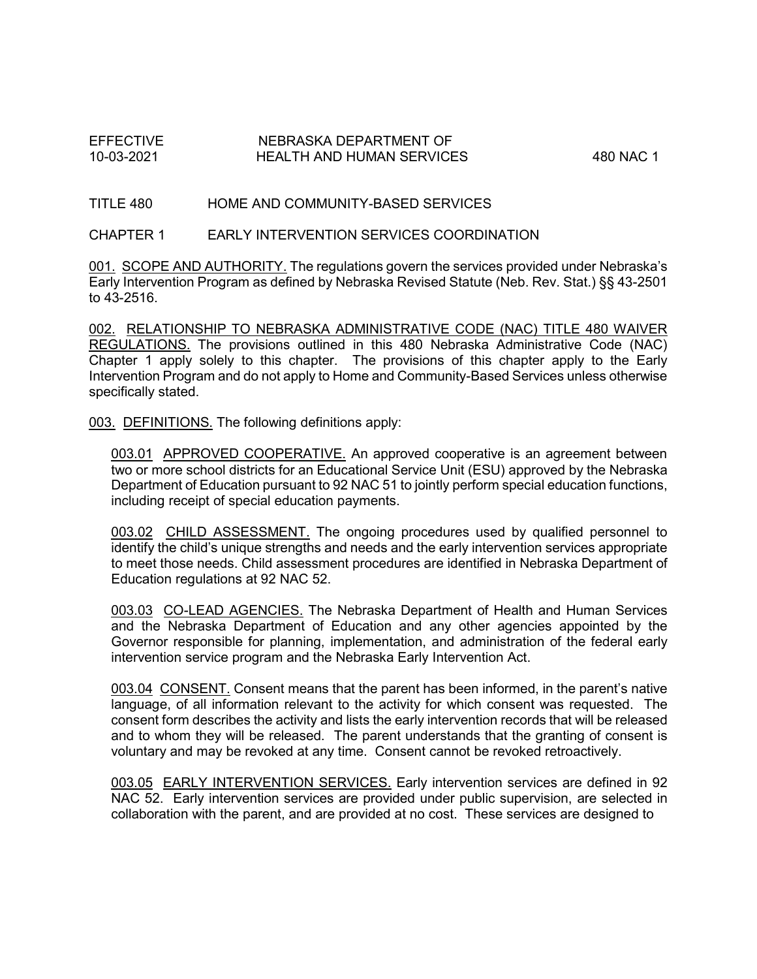### TITLE 480 HOME AND COMMUNITY-BASED SERVICES

#### CHAPTER 1 EARLY INTERVENTION SERVICES COORDINATION

001. SCOPE AND AUTHORITY. The regulations govern the services provided under Nebraska's Early Intervention Program as defined by Nebraska Revised Statute (Neb. Rev. Stat.) §§ 43-2501 to 43-2516.

002. RELATIONSHIP TO NEBRASKA ADMINISTRATIVE CODE (NAC) TITLE 480 WAIVER REGULATIONS. The provisions outlined in this 480 Nebraska Administrative Code (NAC) Chapter 1 apply solely to this chapter. The provisions of this chapter apply to the Early Intervention Program and do not apply to Home and Community-Based Services unless otherwise specifically stated.

003. DEFINITIONS. The following definitions apply:

003.01 APPROVED COOPERATIVE. An approved cooperative is an agreement between two or more school districts for an Educational Service Unit (ESU) approved by the Nebraska Department of Education pursuant to 92 NAC 51 to jointly perform special education functions, including receipt of special education payments.

003.02 CHILD ASSESSMENT. The ongoing procedures used by qualified personnel to identify the child's unique strengths and needs and the early intervention services appropriate to meet those needs. Child assessment procedures are identified in Nebraska Department of Education regulations at 92 NAC 52.

003.03 CO-LEAD AGENCIES. The Nebraska Department of Health and Human Services and the Nebraska Department of Education and any other agencies appointed by the Governor responsible for planning, implementation, and administration of the federal early intervention service program and the Nebraska Early Intervention Act.

003.04 CONSENT. Consent means that the parent has been informed, in the parent's native language, of all information relevant to the activity for which consent was requested. The consent form describes the activity and lists the early intervention records that will be released and to whom they will be released. The parent understands that the granting of consent is voluntary and may be revoked at any time. Consent cannot be revoked retroactively.

003.05 EARLY INTERVENTION SERVICES. Early intervention services are defined in 92 NAC 52. Early intervention services are provided under public supervision, are selected in collaboration with the parent, and are provided at no cost. These services are designed to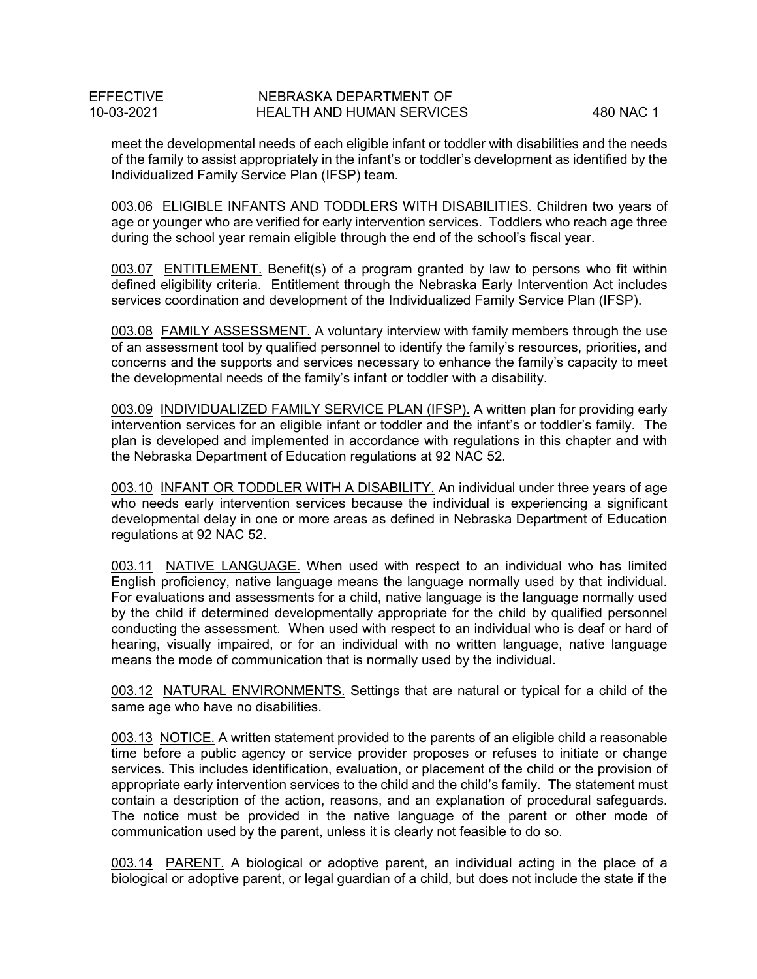meet the developmental needs of each eligible infant or toddler with disabilities and the needs of the family to assist appropriately in the infant's or toddler's development as identified by the Individualized Family Service Plan (IFSP) team.

003.06 ELIGIBLE INFANTS AND TODDLERS WITH DISABILITIES. Children two years of age or younger who are verified for early intervention services. Toddlers who reach age three during the school year remain eligible through the end of the school's fiscal year.

003.07 ENTITLEMENT. Benefit(s) of a program granted by law to persons who fit within defined eligibility criteria. Entitlement through the Nebraska Early Intervention Act includes services coordination and development of the Individualized Family Service Plan (IFSP).

003.08 FAMILY ASSESSMENT. A voluntary interview with family members through the use of an assessment tool by qualified personnel to identify the family's resources, priorities, and concerns and the supports and services necessary to enhance the family's capacity to meet the developmental needs of the family's infant or toddler with a disability.

003.09 INDIVIDUALIZED FAMILY SERVICE PLAN (IFSP). A written plan for providing early intervention services for an eligible infant or toddler and the infant's or toddler's family. The plan is developed and implemented in accordance with regulations in this chapter and with the Nebraska Department of Education regulations at 92 NAC 52.

003.10 INFANT OR TODDLER WITH A DISABILITY. An individual under three years of age who needs early intervention services because the individual is experiencing a significant developmental delay in one or more areas as defined in Nebraska Department of Education regulations at 92 NAC 52.

003.11 NATIVE LANGUAGE. When used with respect to an individual who has limited English proficiency, native language means the language normally used by that individual. For evaluations and assessments for a child, native language is the language normally used by the child if determined developmentally appropriate for the child by qualified personnel conducting the assessment. When used with respect to an individual who is deaf or hard of hearing, visually impaired, or for an individual with no written language, native language means the mode of communication that is normally used by the individual.

003.12 NATURAL ENVIRONMENTS. Settings that are natural or typical for a child of the same age who have no disabilities.

003.13 NOTICE. A written statement provided to the parents of an eligible child a reasonable time before a public agency or service provider proposes or refuses to initiate or change services. This includes identification, evaluation, or placement of the child or the provision of appropriate early intervention services to the child and the child's family. The statement must contain a description of the action, reasons, and an explanation of procedural safeguards. The notice must be provided in the native language of the parent or other mode of communication used by the parent, unless it is clearly not feasible to do so.

003.14 PARENT. A biological or adoptive parent, an individual acting in the place of a biological or adoptive parent, or legal guardian of a child, but does not include the state if the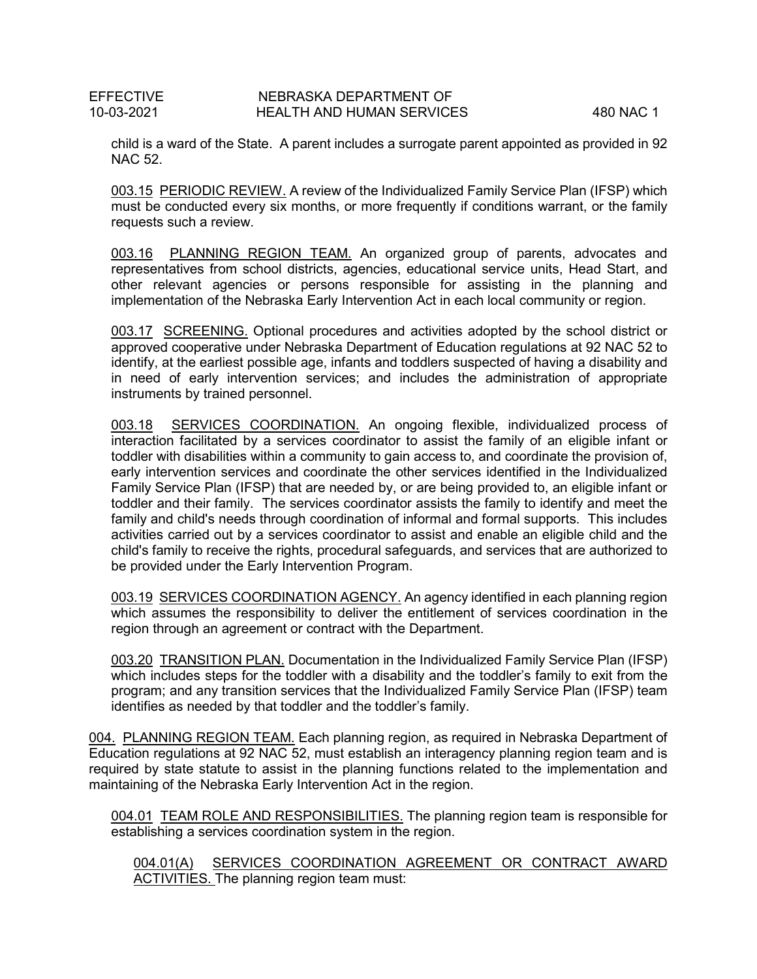child is a ward of the State. A parent includes a surrogate parent appointed as provided in 92 NAC 52.

003.15 PERIODIC REVIEW. A review of the Individualized Family Service Plan (IFSP) which must be conducted every six months, or more frequently if conditions warrant, or the family requests such a review.

003.16 PLANNING REGION TEAM. An organized group of parents, advocates and representatives from school districts, agencies, educational service units, Head Start, and other relevant agencies or persons responsible for assisting in the planning and implementation of the Nebraska Early Intervention Act in each local community or region.

003.17 SCREENING. Optional procedures and activities adopted by the school district or approved cooperative under Nebraska Department of Education regulations at 92 NAC 52 to identify, at the earliest possible age, infants and toddlers suspected of having a disability and in need of early intervention services; and includes the administration of appropriate instruments by trained personnel.

003.18 SERVICES COORDINATION. An ongoing flexible, individualized process of interaction facilitated by a services coordinator to assist the family of an eligible infant or toddler with disabilities within a community to gain access to, and coordinate the provision of, early intervention services and coordinate the other services identified in the Individualized Family Service Plan (IFSP) that are needed by, or are being provided to, an eligible infant or toddler and their family. The services coordinator assists the family to identify and meet the family and child's needs through coordination of informal and formal supports. This includes activities carried out by a services coordinator to assist and enable an eligible child and the child's family to receive the rights, procedural safeguards, and services that are authorized to be provided under the Early Intervention Program.

003.19 SERVICES COORDINATION AGENCY. An agency identified in each planning region which assumes the responsibility to deliver the entitlement of services coordination in the region through an agreement or contract with the Department.

003.20 TRANSITION PLAN. Documentation in the Individualized Family Service Plan (IFSP) which includes steps for the toddler with a disability and the toddler's family to exit from the program; and any transition services that the Individualized Family Service Plan (IFSP) team identifies as needed by that toddler and the toddler's family.

004. PLANNING REGION TEAM. Each planning region, as required in Nebraska Department of Education regulations at 92 NAC 52, must establish an interagency planning region team and is required by state statute to assist in the planning functions related to the implementation and maintaining of the Nebraska Early Intervention Act in the region.

004.01 TEAM ROLE AND RESPONSIBILITIES. The planning region team is responsible for establishing a services coordination system in the region.

004.01(A) SERVICES COORDINATION AGREEMENT OR CONTRACT AWARD **ACTIVITIES.** The planning region team must: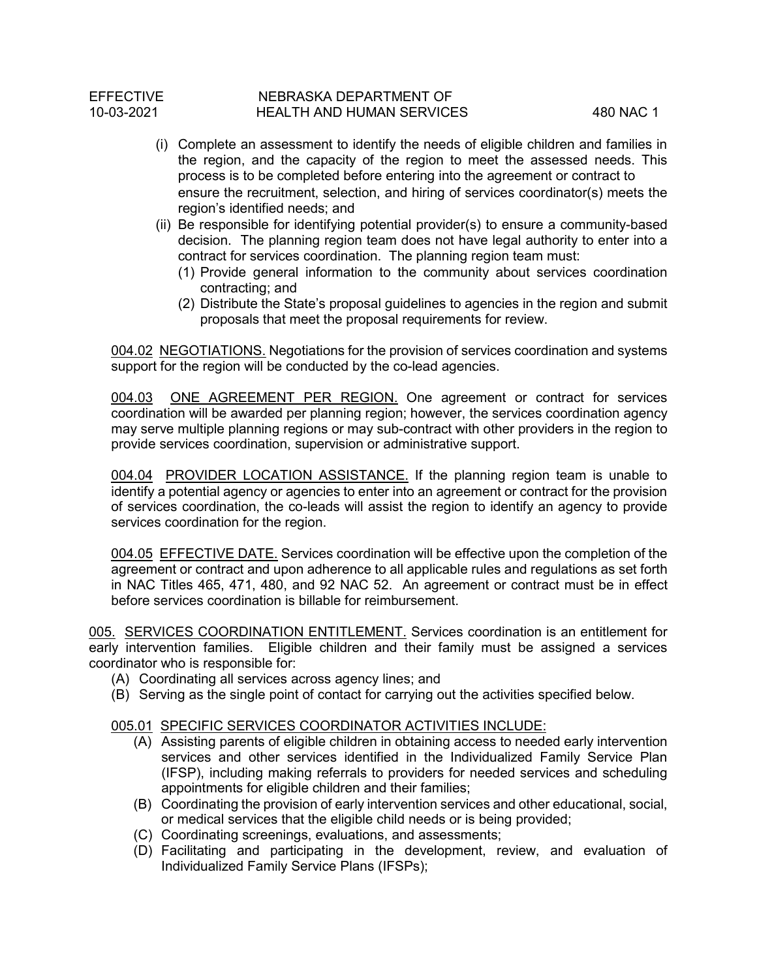- (i) Complete an assessment to identify the needs of eligible children and families in the region, and the capacity of the region to meet the assessed needs. This process is to be completed before entering into the agreement or contract to ensure the recruitment, selection, and hiring of services coordinator(s) meets the region's identified needs; and
- (ii) Be responsible for identifying potential provider(s) to ensure a community-based decision. The planning region team does not have legal authority to enter into a contract for services coordination. The planning region team must:
	- (1) Provide general information to the community about services coordination contracting; and
	- (2) Distribute the State's proposal guidelines to agencies in the region and submit proposals that meet the proposal requirements for review.

004.02 NEGOTIATIONS. Negotiations for the provision of services coordination and systems support for the region will be conducted by the co-lead agencies.

004.03 ONE AGREEMENT PER REGION. One agreement or contract for services coordination will be awarded per planning region; however, the services coordination agency may serve multiple planning regions or may sub-contract with other providers in the region to provide services coordination, supervision or administrative support.

004.04 PROVIDER LOCATION ASSISTANCE. If the planning region team is unable to identify a potential agency or agencies to enter into an agreement or contract for the provision of services coordination, the co-leads will assist the region to identify an agency to provide services coordination for the region.

004.05 EFFECTIVE DATE. Services coordination will be effective upon the completion of the agreement or contract and upon adherence to all applicable rules and regulations as set forth in NAC Titles 465, 471, 480, and 92 NAC 52. An agreement or contract must be in effect before services coordination is billable for reimbursement.

005. SERVICES COORDINATION ENTITLEMENT. Services coordination is an entitlement for early intervention families. Eligible children and their family must be assigned a services coordinator who is responsible for:

- (A) Coordinating all services across agency lines; and
- (B) Serving as the single point of contact for carrying out the activities specified below.

# 005.01 SPECIFIC SERVICES COORDINATOR ACTIVITIES INCLUDE:

- (A) Assisting parents of eligible children in obtaining access to needed early intervention services and other services identified in the Individualized Family Service Plan (IFSP), including making referrals to providers for needed services and scheduling appointments for eligible children and their families;
- (B) Coordinating the provision of early intervention services and other educational, social, or medical services that the eligible child needs or is being provided;
- (C) Coordinating screenings, evaluations, and assessments;
- (D) Facilitating and participating in the development, review, and evaluation of Individualized Family Service Plans (IFSPs);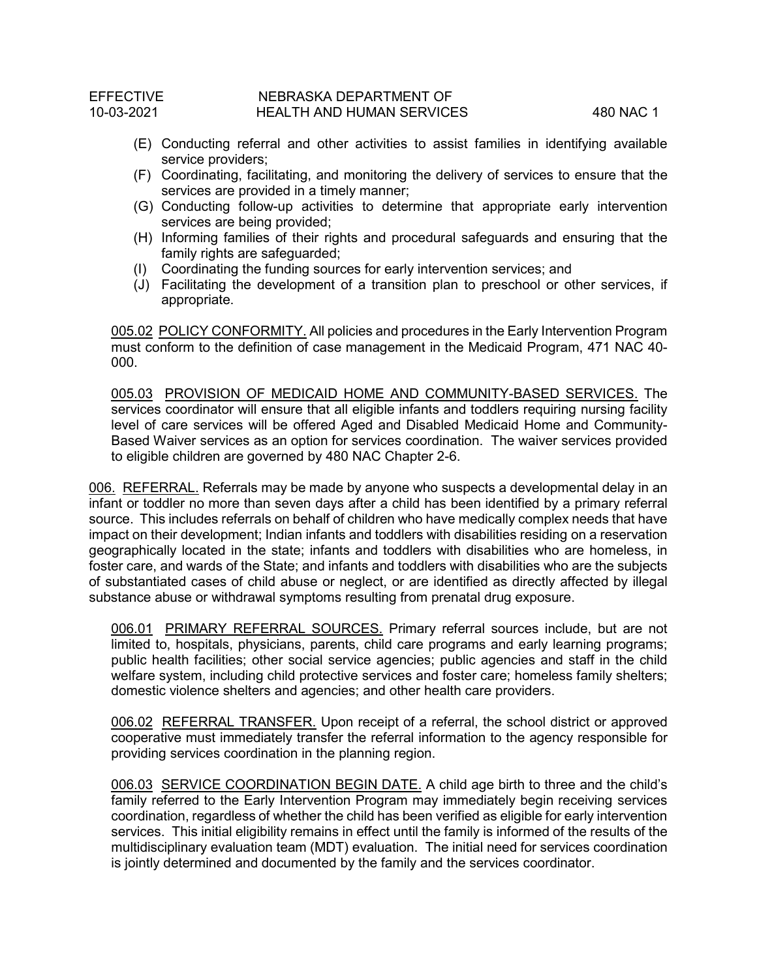- (E) Conducting referral and other activities to assist families in identifying available service providers;
- (F) Coordinating, facilitating, and monitoring the delivery of services to ensure that the services are provided in a timely manner;
- (G) Conducting follow-up activities to determine that appropriate early intervention services are being provided;
- (H) Informing families of their rights and procedural safeguards and ensuring that the family rights are safeguarded:
- (I) Coordinating the funding sources for early intervention services; and
- (J) Facilitating the development of a transition plan to preschool or other services, if appropriate.

005.02 POLICY CONFORMITY. All policies and procedures in the Early Intervention Program must conform to the definition of case management in the Medicaid Program, 471 NAC 40- 000.

005.03 PROVISION OF MEDICAID HOME AND COMMUNITY-BASED SERVICES. The services coordinator will ensure that all eligible infants and toddlers requiring nursing facility level of care services will be offered Aged and Disabled Medicaid Home and Community-Based Waiver services as an option for services coordination. The waiver services provided to eligible children are governed by 480 NAC Chapter 2-6.

006. REFERRAL. Referrals may be made by anyone who suspects a developmental delay in an infant or toddler no more than seven days after a child has been identified by a primary referral source. This includes referrals on behalf of children who have medically complex needs that have impact on their development; Indian infants and toddlers with disabilities residing on a reservation geographically located in the state; infants and toddlers with disabilities who are homeless, in foster care, and wards of the State; and infants and toddlers with disabilities who are the subjects of substantiated cases of child abuse or neglect, or are identified as directly affected by illegal substance abuse or withdrawal symptoms resulting from prenatal drug exposure.

006.01 PRIMARY REFERRAL SOURCES. Primary referral sources include, but are not limited to, hospitals, physicians, parents, child care programs and early learning programs; public health facilities; other social service agencies; public agencies and staff in the child welfare system, including child protective services and foster care; homeless family shelters; domestic violence shelters and agencies; and other health care providers.

006.02 REFERRAL TRANSFER. Upon receipt of a referral, the school district or approved cooperative must immediately transfer the referral information to the agency responsible for providing services coordination in the planning region.

006.03 SERVICE COORDINATION BEGIN DATE. A child age birth to three and the child's family referred to the Early Intervention Program may immediately begin receiving services coordination, regardless of whether the child has been verified as eligible for early intervention services. This initial eligibility remains in effect until the family is informed of the results of the multidisciplinary evaluation team (MDT) evaluation. The initial need for services coordination is jointly determined and documented by the family and the services coordinator.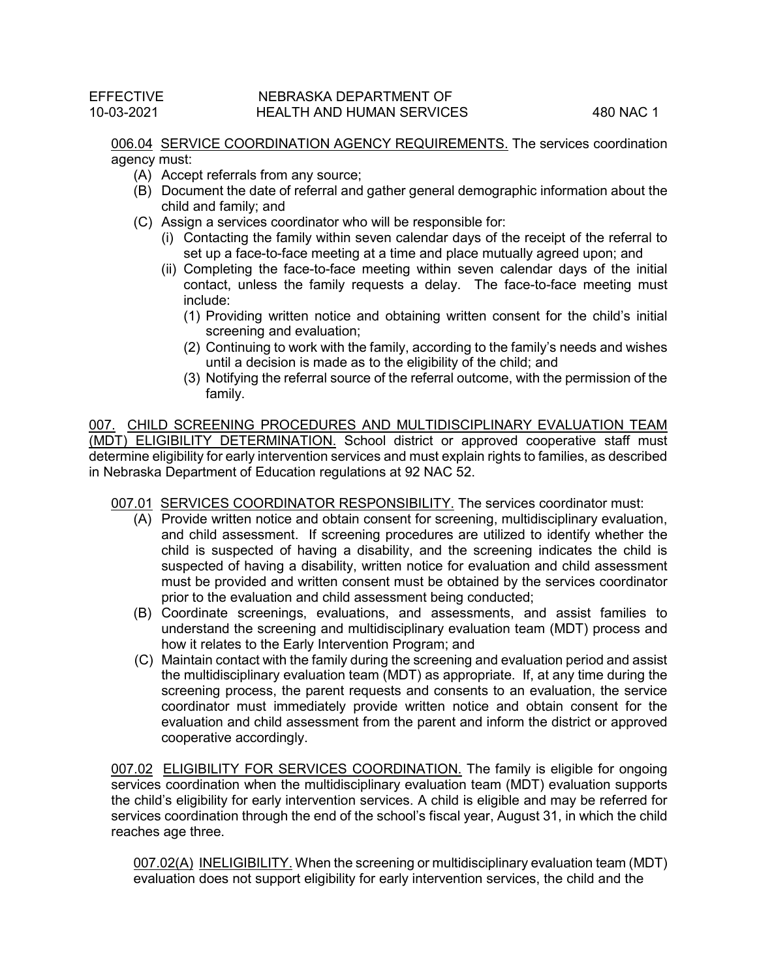006.04 SERVICE COORDINATION AGENCY REQUIREMENTS. The services coordination agency must:

- (A) Accept referrals from any source;
- (B) Document the date of referral and gather general demographic information about the child and family; and
- (C) Assign a services coordinator who will be responsible for:
	- (i) Contacting the family within seven calendar days of the receipt of the referral to set up a face-to-face meeting at a time and place mutually agreed upon; and
	- (ii) Completing the face-to-face meeting within seven calendar days of the initial contact, unless the family requests a delay. The face-to-face meeting must include:
		- (1) Providing written notice and obtaining written consent for the child's initial screening and evaluation;
		- (2) Continuing to work with the family, according to the family's needs and wishes until a decision is made as to the eligibility of the child; and
		- (3) Notifying the referral source of the referral outcome, with the permission of the family.

007. CHILD SCREENING PROCEDURES AND MULTIDISCIPLINARY EVALUATION TEAM (MDT) ELIGIBILITY DETERMINATION. School district or approved cooperative staff must determine eligibility for early intervention services and must explain rights to families, as described in Nebraska Department of Education regulations at 92 NAC 52.

# 007.01 SERVICES COORDINATOR RESPONSIBILITY. The services coordinator must:

- (A) Provide written notice and obtain consent for screening, multidisciplinary evaluation, and child assessment. If screening procedures are utilized to identify whether the child is suspected of having a disability, and the screening indicates the child is suspected of having a disability, written notice for evaluation and child assessment must be provided and written consent must be obtained by the services coordinator prior to the evaluation and child assessment being conducted;
- (B) Coordinate screenings, evaluations, and assessments, and assist families to understand the screening and multidisciplinary evaluation team (MDT) process and how it relates to the Early Intervention Program; and
- (C) Maintain contact with the family during the screening and evaluation period and assist the multidisciplinary evaluation team (MDT) as appropriate. If, at any time during the screening process, the parent requests and consents to an evaluation, the service coordinator must immediately provide written notice and obtain consent for the evaluation and child assessment from the parent and inform the district or approved cooperative accordingly.

007.02 ELIGIBILITY FOR SERVICES COORDINATION. The family is eligible for ongoing services coordination when the multidisciplinary evaluation team (MDT) evaluation supports the child's eligibility for early intervention services. A child is eligible and may be referred for services coordination through the end of the school's fiscal year, August 31, in which the child reaches age three.

007.02(A) INELIGIBILITY. When the screening or multidisciplinary evaluation team (MDT) evaluation does not support eligibility for early intervention services, the child and the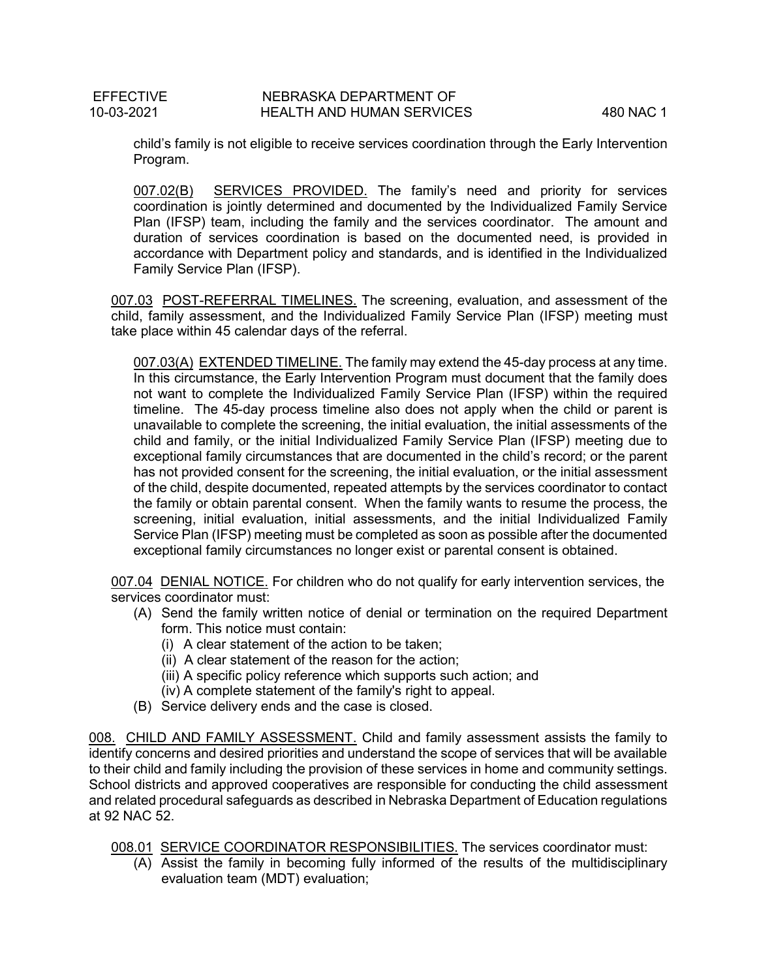child's family is not eligible to receive services coordination through the Early Intervention Program.

007.02(B) SERVICES PROVIDED. The family's need and priority for services coordination is jointly determined and documented by the Individualized Family Service Plan (IFSP) team, including the family and the services coordinator. The amount and duration of services coordination is based on the documented need, is provided in accordance with Department policy and standards, and is identified in the Individualized Family Service Plan (IFSP).

007.03 POST-REFERRAL TIMELINES. The screening, evaluation, and assessment of the child, family assessment, and the Individualized Family Service Plan (IFSP) meeting must take place within 45 calendar days of the referral.

007.03(A) EXTENDED TIMELINE. The family may extend the 45-day process at any time. In this circumstance, the Early Intervention Program must document that the family does not want to complete the Individualized Family Service Plan (IFSP) within the required timeline. The 45-day process timeline also does not apply when the child or parent is unavailable to complete the screening, the initial evaluation, the initial assessments of the child and family, or the initial Individualized Family Service Plan (IFSP) meeting due to exceptional family circumstances that are documented in the child's record; or the parent has not provided consent for the screening, the initial evaluation, or the initial assessment of the child, despite documented, repeated attempts by the services coordinator to contact the family or obtain parental consent. When the family wants to resume the process, the screening, initial evaluation, initial assessments, and the initial Individualized Family Service Plan (IFSP) meeting must be completed as soon as possible after the documented exceptional family circumstances no longer exist or parental consent is obtained.

007.04 DENIAL NOTICE. For children who do not qualify for early intervention services, the services coordinator must:

- (A) Send the family written notice of denial or termination on the required Department form. This notice must contain:
	- (i) A clear statement of the action to be taken;
	- (ii) A clear statement of the reason for the action;
	- (iii) A specific policy reference which supports such action; and
	- (iv) A complete statement of the family's right to appeal.
- (B) Service delivery ends and the case is closed.

008. CHILD AND FAMILY ASSESSMENT. Child and family assessment assists the family to identify concerns and desired priorities and understand the scope of services that will be available to their child and family including the provision of these services in home and community settings. School districts and approved cooperatives are responsible for conducting the child assessment and related procedural safeguards as described in Nebraska Department of Education regulations at 92 NAC 52.

- 008.01 SERVICE COORDINATOR RESPONSIBILITIES. The services coordinator must:
	- (A) Assist the family in becoming fully informed of the results of the multidisciplinary evaluation team (MDT) evaluation;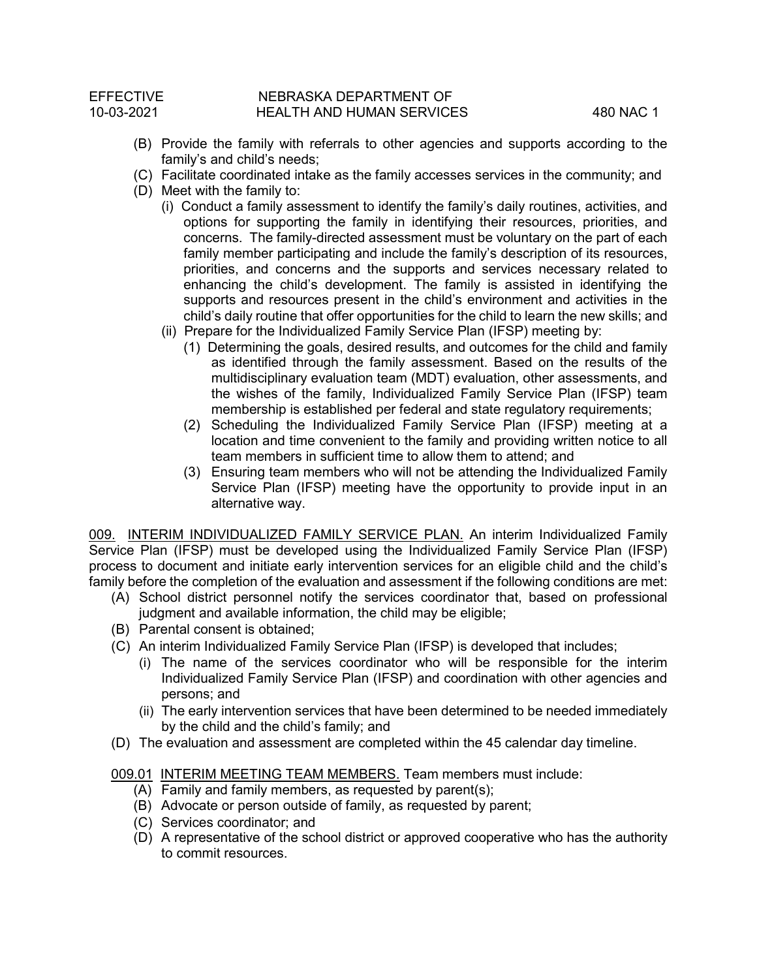- (B) Provide the family with referrals to other agencies and supports according to the family's and child's needs;
- (C) Facilitate coordinated intake as the family accesses services in the community; and
- (D) Meet with the family to:
	- (i) Conduct a family assessment to identify the family's daily routines, activities, and options for supporting the family in identifying their resources, priorities, and concerns. The family-directed assessment must be voluntary on the part of each family member participating and include the family's description of its resources, priorities, and concerns and the supports and services necessary related to enhancing the child's development. The family is assisted in identifying the supports and resources present in the child's environment and activities in the child's daily routine that offer opportunities for the child to learn the new skills; and
	- (ii) Prepare for the Individualized Family Service Plan (IFSP) meeting by:
		- (1) Determining the goals, desired results, and outcomes for the child and family as identified through the family assessment. Based on the results of the multidisciplinary evaluation team (MDT) evaluation, other assessments, and the wishes of the family, Individualized Family Service Plan (IFSP) team membership is established per federal and state regulatory requirements;
		- (2) Scheduling the Individualized Family Service Plan (IFSP) meeting at a location and time convenient to the family and providing written notice to all team members in sufficient time to allow them to attend; and
		- (3) Ensuring team members who will not be attending the Individualized Family Service Plan (IFSP) meeting have the opportunity to provide input in an alternative way.

009. INTERIM INDIVIDUALIZED FAMILY SERVICE PLAN. An interim Individualized Family Service Plan (IFSP) must be developed using the Individualized Family Service Plan (IFSP) process to document and initiate early intervention services for an eligible child and the child's family before the completion of the evaluation and assessment if the following conditions are met:

- (A) School district personnel notify the services coordinator that, based on professional judgment and available information, the child may be eligible;
- (B) Parental consent is obtained;
- (C) An interim Individualized Family Service Plan (IFSP) is developed that includes;
	- (i) The name of the services coordinator who will be responsible for the interim Individualized Family Service Plan (IFSP) and coordination with other agencies and persons; and
	- (ii) The early intervention services that have been determined to be needed immediately by the child and the child's family; and
- (D) The evaluation and assessment are completed within the 45 calendar day timeline.

## 009.01 INTERIM MEETING TEAM MEMBERS. Team members must include:

- $\overline{(A)}$  Family and family members, as requested by parent(s);
- (B) Advocate or person outside of family, as requested by parent;
- (C) Services coordinator; and
- (D) A representative of the school district or approved cooperative who has the authority to commit resources.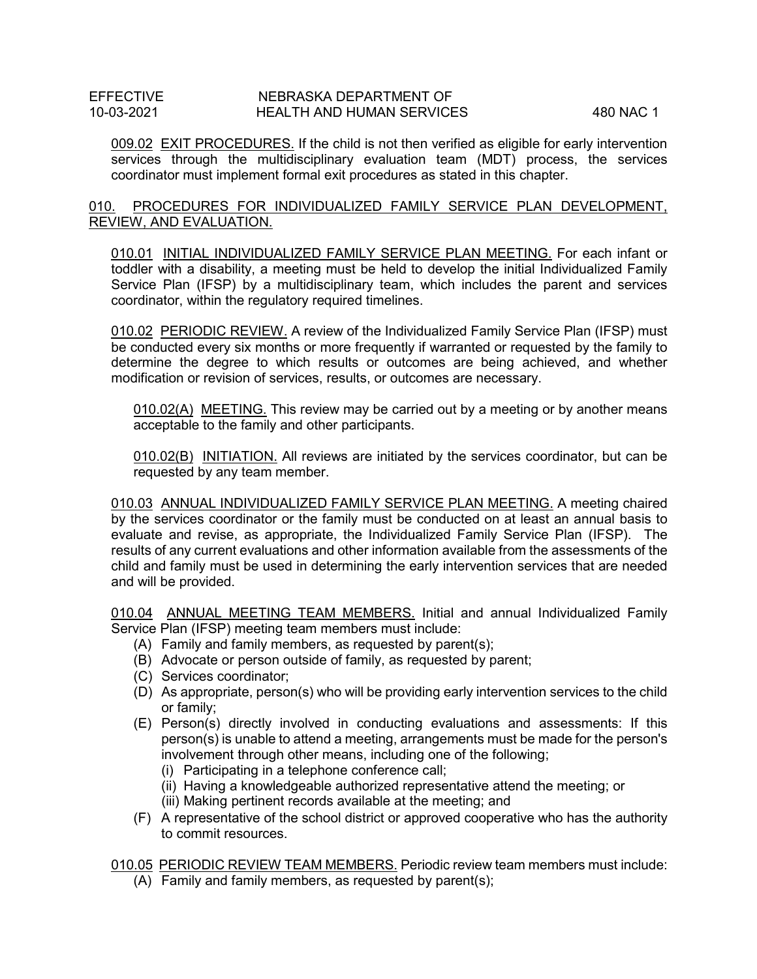009.02 EXIT PROCEDURES. If the child is not then verified as eligible for early intervention services through the multidisciplinary evaluation team (MDT) process, the services coordinator must implement formal exit procedures as stated in this chapter.

010. PROCEDURES FOR INDIVIDUALIZED FAMILY SERVICE PLAN DEVELOPMENT, REVIEW, AND EVALUATION.

010.01 INITIAL INDIVIDUALIZED FAMILY SERVICE PLAN MEETING. For each infant or toddler with a disability, a meeting must be held to develop the initial Individualized Family Service Plan (IFSP) by a multidisciplinary team, which includes the parent and services coordinator, within the regulatory required timelines.

010.02 PERIODIC REVIEW. A review of the Individualized Family Service Plan (IFSP) must be conducted every six months or more frequently if warranted or requested by the family to determine the degree to which results or outcomes are being achieved, and whether modification or revision of services, results, or outcomes are necessary.

010.02(A) MEETING. This review may be carried out by a meeting or by another means acceptable to the family and other participants.

010.02(B) INITIATION. All reviews are initiated by the services coordinator, but can be requested by any team member.

010.03 ANNUAL INDIVIDUALIZED FAMILY SERVICE PLAN MEETING. A meeting chaired by the services coordinator or the family must be conducted on at least an annual basis to evaluate and revise, as appropriate, the Individualized Family Service Plan (IFSP). The results of any current evaluations and other information available from the assessments of the child and family must be used in determining the early intervention services that are needed and will be provided.

010.04 ANNUAL MEETING TEAM MEMBERS. Initial and annual Individualized Family Service Plan (IFSP) meeting team members must include:

- (A) Family and family members, as requested by parent(s);
- (B) Advocate or person outside of family, as requested by parent;
- (C) Services coordinator;
- (D) As appropriate, person(s) who will be providing early intervention services to the child or family;
- (E) Person(s) directly involved in conducting evaluations and assessments: If this person(s) is unable to attend a meeting, arrangements must be made for the person's involvement through other means, including one of the following;
	- (i) Participating in a telephone conference call;
	- (ii) Having a knowledgeable authorized representative attend the meeting; or
	- (iii) Making pertinent records available at the meeting; and
- (F) A representative of the school district or approved cooperative who has the authority to commit resources.

010.05 PERIODIC REVIEW TEAM MEMBERS. Periodic review team members must include:

(A) Family and family members, as requested by parent(s);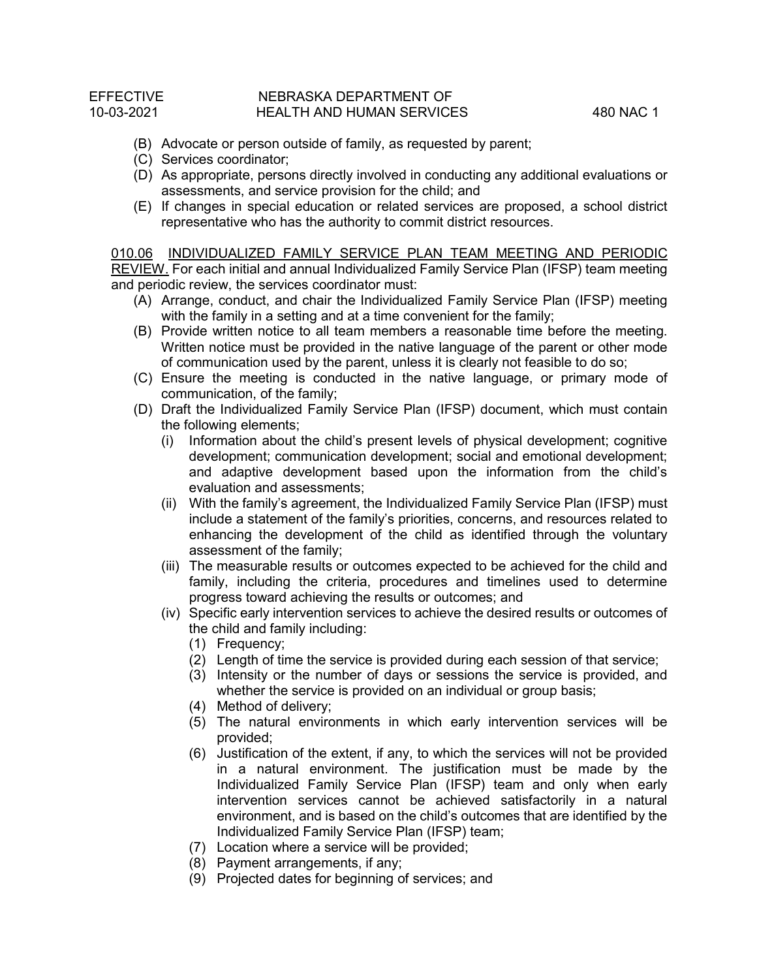- (B) Advocate or person outside of family, as requested by parent;
- (C) Services coordinator;
- (D) As appropriate, persons directly involved in conducting any additional evaluations or assessments, and service provision for the child; and
- (E) If changes in special education or related services are proposed, a school district representative who has the authority to commit district resources.

010.06 INDIVIDUALIZED FAMILY SERVICE PLAN TEAM MEETING AND PERIODIC REVIEW. For each initial and annual Individualized Family Service Plan (IFSP) team meeting and periodic review, the services coordinator must:

- (A) Arrange, conduct, and chair the Individualized Family Service Plan (IFSP) meeting with the family in a setting and at a time convenient for the family;
- (B) Provide written notice to all team members a reasonable time before the meeting. Written notice must be provided in the native language of the parent or other mode of communication used by the parent, unless it is clearly not feasible to do so;
- (C) Ensure the meeting is conducted in the native language, or primary mode of communication, of the family;
- (D) Draft the Individualized Family Service Plan (IFSP) document, which must contain the following elements;
	- (i) Information about the child's present levels of physical development; cognitive development; communication development; social and emotional development; and adaptive development based upon the information from the child's evaluation and assessments;
	- (ii) With the family's agreement, the Individualized Family Service Plan (IFSP) must include a statement of the family's priorities, concerns, and resources related to enhancing the development of the child as identified through the voluntary assessment of the family;
	- (iii) The measurable results or outcomes expected to be achieved for the child and family, including the criteria, procedures and timelines used to determine progress toward achieving the results or outcomes; and
	- (iv) Specific early intervention services to achieve the desired results or outcomes of the child and family including:
		- (1) Frequency;
		- (2) Length of time the service is provided during each session of that service;
		- (3) Intensity or the number of days or sessions the service is provided, and whether the service is provided on an individual or group basis;
		- (4) Method of delivery;
		- (5) The natural environments in which early intervention services will be provided;
		- (6) Justification of the extent, if any, to which the services will not be provided in a natural environment. The justification must be made by the Individualized Family Service Plan (IFSP) team and only when early intervention services cannot be achieved satisfactorily in a natural environment, and is based on the child's outcomes that are identified by the Individualized Family Service Plan (IFSP) team;
		- (7) Location where a service will be provided;
		- (8) Payment arrangements, if any;
		- (9) Projected dates for beginning of services; and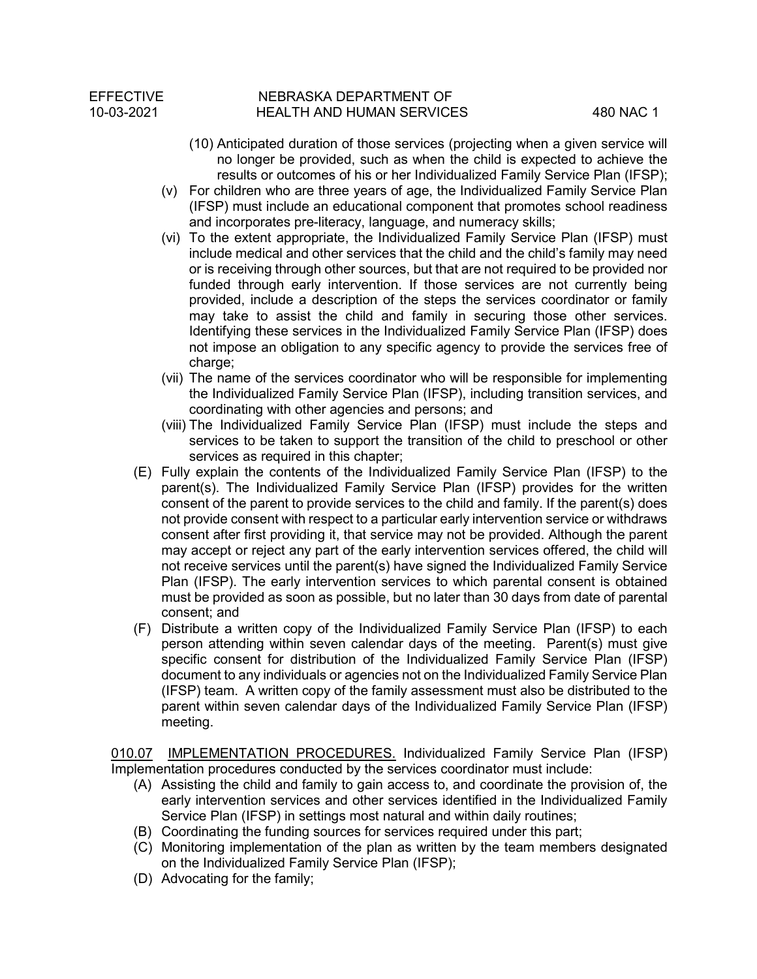- (10) Anticipated duration of those services (projecting when a given service will no longer be provided, such as when the child is expected to achieve the results or outcomes of his or her Individualized Family Service Plan (IFSP);
- (v) For children who are three years of age, the Individualized Family Service Plan (IFSP) must include an educational component that promotes school readiness and incorporates pre-literacy, language, and numeracy skills;
- (vi) To the extent appropriate, the Individualized Family Service Plan (IFSP) must include medical and other services that the child and the child's family may need or is receiving through other sources, but that are not required to be provided nor funded through early intervention. If those services are not currently being provided, include a description of the steps the services coordinator or family may take to assist the child and family in securing those other services. Identifying these services in the Individualized Family Service Plan (IFSP) does not impose an obligation to any specific agency to provide the services free of charge:
- (vii) The name of the services coordinator who will be responsible for implementing the Individualized Family Service Plan (IFSP), including transition services, and coordinating with other agencies and persons; and
- (viii) The Individualized Family Service Plan (IFSP) must include the steps and services to be taken to support the transition of the child to preschool or other services as required in this chapter;
- (E) Fully explain the contents of the Individualized Family Service Plan (IFSP) to the parent(s). The Individualized Family Service Plan (IFSP) provides for the written consent of the parent to provide services to the child and family. If the parent(s) does not provide consent with respect to a particular early intervention service or withdraws consent after first providing it, that service may not be provided. Although the parent may accept or reject any part of the early intervention services offered, the child will not receive services until the parent(s) have signed the Individualized Family Service Plan (IFSP). The early intervention services to which parental consent is obtained must be provided as soon as possible, but no later than 30 days from date of parental consent; and
- (F) Distribute a written copy of the Individualized Family Service Plan (IFSP) to each person attending within seven calendar days of the meeting. Parent(s) must give specific consent for distribution of the Individualized Family Service Plan (IFSP) document to any individuals or agencies not on the Individualized Family Service Plan (IFSP) team. A written copy of the family assessment must also be distributed to the parent within seven calendar days of the Individualized Family Service Plan (IFSP) meeting.

010.07 IMPLEMENTATION PROCEDURES. Individualized Family Service Plan (IFSP) Implementation procedures conducted by the services coordinator must include:

- (A) Assisting the child and family to gain access to, and coordinate the provision of, the early intervention services and other services identified in the Individualized Family Service Plan (IFSP) in settings most natural and within daily routines;
- (B) Coordinating the funding sources for services required under this part;
- (C) Monitoring implementation of the plan as written by the team members designated on the Individualized Family Service Plan (IFSP);
- (D) Advocating for the family;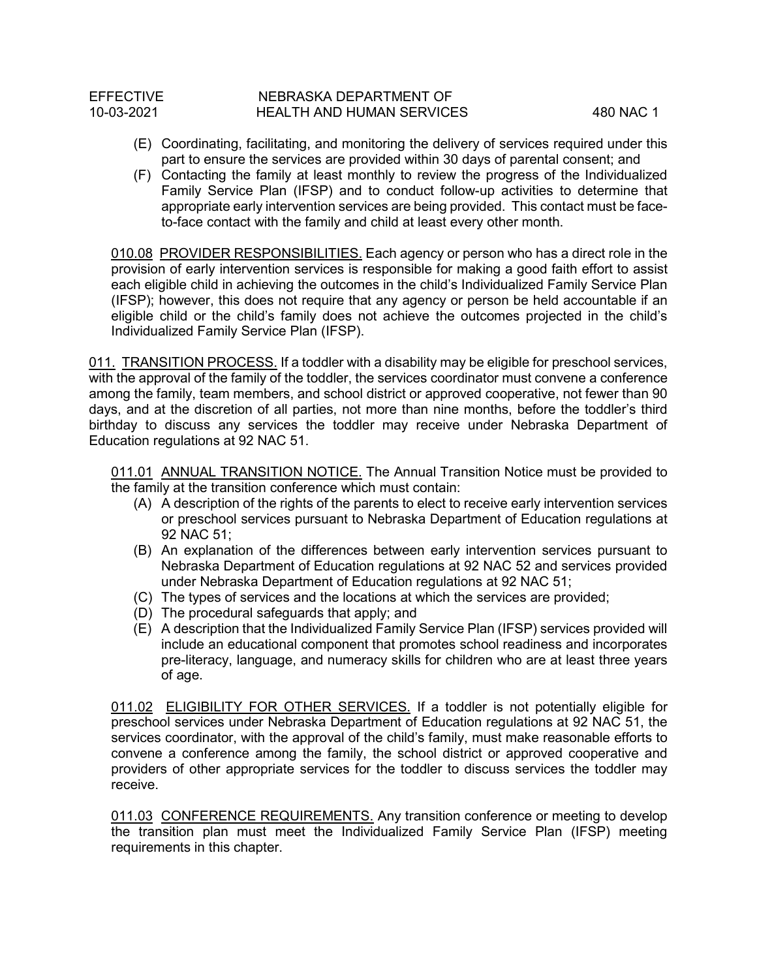- (E) Coordinating, facilitating, and monitoring the delivery of services required under this part to ensure the services are provided within 30 days of parental consent; and
- (F) Contacting the family at least monthly to review the progress of the Individualized Family Service Plan (IFSP) and to conduct follow-up activities to determine that appropriate early intervention services are being provided. This contact must be faceto-face contact with the family and child at least every other month.

010.08 PROVIDER RESPONSIBILITIES. Each agency or person who has a direct role in the provision of early intervention services is responsible for making a good faith effort to assist each eligible child in achieving the outcomes in the child's Individualized Family Service Plan (IFSP); however, this does not require that any agency or person be held accountable if an eligible child or the child's family does not achieve the outcomes projected in the child's Individualized Family Service Plan (IFSP).

011. TRANSITION PROCESS. If a toddler with a disability may be eligible for preschool services, with the approval of the family of the toddler, the services coordinator must convene a conference among the family, team members, and school district or approved cooperative, not fewer than 90 days, and at the discretion of all parties, not more than nine months, before the toddler's third birthday to discuss any services the toddler may receive under Nebraska Department of Education regulations at 92 NAC 51.

011.01 ANNUAL TRANSITION NOTICE. The Annual Transition Notice must be provided to the family at the transition conference which must contain:

- (A) A description of the rights of the parents to elect to receive early intervention services or preschool services pursuant to Nebraska Department of Education regulations at 92 NAC 51;
- (B) An explanation of the differences between early intervention services pursuant to Nebraska Department of Education regulations at 92 NAC 52 and services provided under Nebraska Department of Education regulations at 92 NAC 51;
- (C) The types of services and the locations at which the services are provided;
- (D) The procedural safeguards that apply; and
- (E) A description that the Individualized Family Service Plan (IFSP) services provided will include an educational component that promotes school readiness and incorporates pre-literacy, language, and numeracy skills for children who are at least three years of age.

011.02 ELIGIBILITY FOR OTHER SERVICES. If a toddler is not potentially eligible for preschool services under Nebraska Department of Education regulations at 92 NAC 51, the services coordinator, with the approval of the child's family, must make reasonable efforts to convene a conference among the family, the school district or approved cooperative and providers of other appropriate services for the toddler to discuss services the toddler may receive.

011.03 CONFERENCE REQUIREMENTS. Any transition conference or meeting to develop the transition plan must meet the Individualized Family Service Plan (IFSP) meeting requirements in this chapter.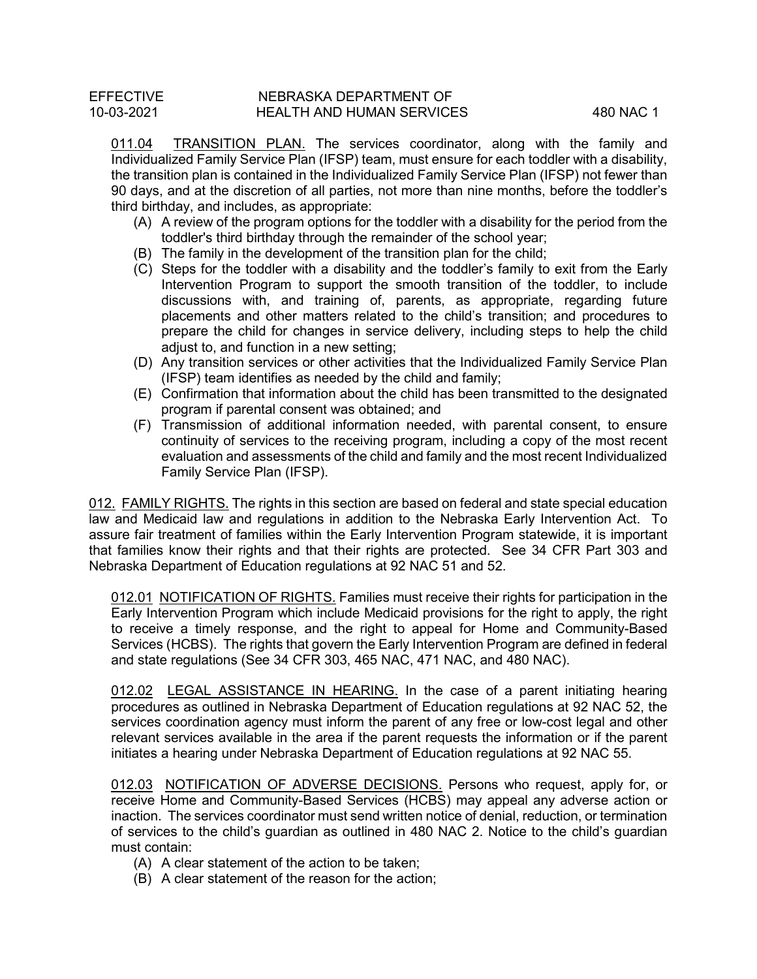011.04 TRANSITION PLAN. The services coordinator, along with the family and Individualized Family Service Plan (IFSP) team, must ensure for each toddler with a disability, the transition plan is contained in the Individualized Family Service Plan (IFSP) not fewer than 90 days, and at the discretion of all parties, not more than nine months, before the toddler's third birthday, and includes, as appropriate:

- (A) A review of the program options for the toddler with a disability for the period from the toddler's third birthday through the remainder of the school year;
- (B) The family in the development of the transition plan for the child;
- (C) Steps for the toddler with a disability and the toddler's family to exit from the Early Intervention Program to support the smooth transition of the toddler, to include discussions with, and training of, parents, as appropriate, regarding future placements and other matters related to the child's transition; and procedures to prepare the child for changes in service delivery, including steps to help the child adjust to, and function in a new setting;
- (D) Any transition services or other activities that the Individualized Family Service Plan (IFSP) team identifies as needed by the child and family;
- (E) Confirmation that information about the child has been transmitted to the designated program if parental consent was obtained; and
- (F) Transmission of additional information needed, with parental consent, to ensure continuity of services to the receiving program, including a copy of the most recent evaluation and assessments of the child and family and the most recent Individualized Family Service Plan (IFSP).

012. FAMILY RIGHTS. The rights in this section are based on federal and state special education law and Medicaid law and regulations in addition to the Nebraska Early Intervention Act. To assure fair treatment of families within the Early Intervention Program statewide, it is important that families know their rights and that their rights are protected. See 34 CFR Part 303 and Nebraska Department of Education regulations at 92 NAC 51 and 52.

012.01 NOTIFICATION OF RIGHTS. Families must receive their rights for participation in the Early Intervention Program which include Medicaid provisions for the right to apply, the right to receive a timely response, and the right to appeal for Home and Community-Based Services (HCBS). The rights that govern the Early Intervention Program are defined in federal and state regulations (See 34 CFR 303, 465 NAC, 471 NAC, and 480 NAC).

012.02 LEGAL ASSISTANCE IN HEARING. In the case of a parent initiating hearing procedures as outlined in Nebraska Department of Education regulations at 92 NAC 52, the services coordination agency must inform the parent of any free or low-cost legal and other relevant services available in the area if the parent requests the information or if the parent initiates a hearing under Nebraska Department of Education regulations at 92 NAC 55.

012.03 NOTIFICATION OF ADVERSE DECISIONS. Persons who request, apply for, or receive Home and Community-Based Services (HCBS) may appeal any adverse action or inaction. The services coordinator must send written notice of denial, reduction, or termination of services to the child's guardian as outlined in 480 NAC 2. Notice to the child's guardian must contain:

- (A) A clear statement of the action to be taken;
- (B) A clear statement of the reason for the action;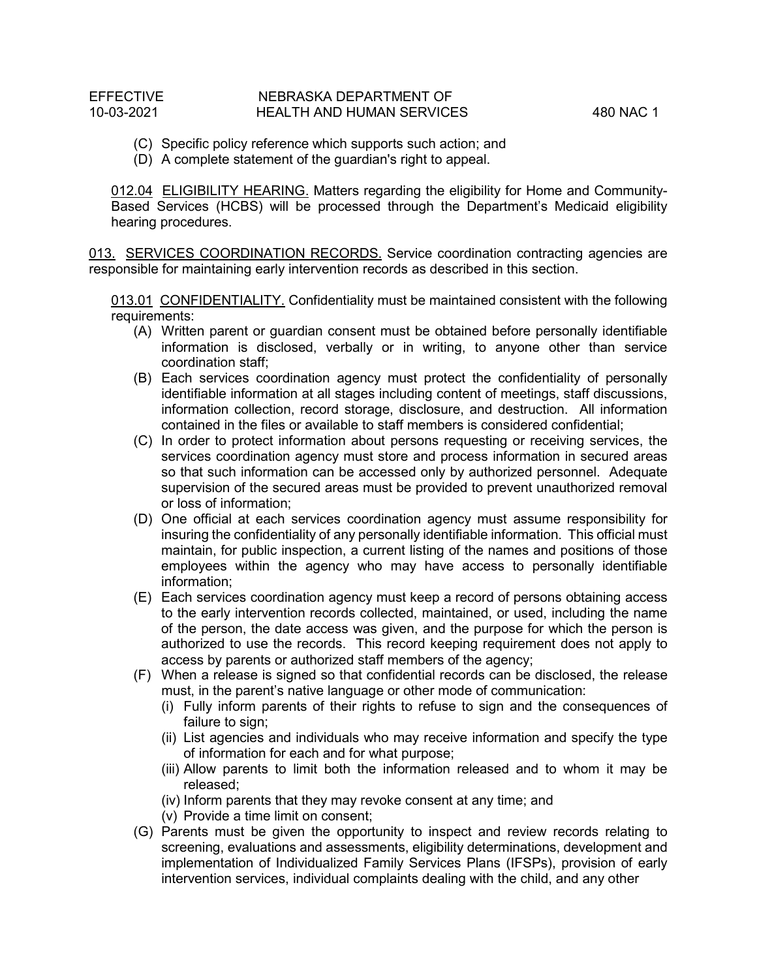- (C) Specific policy reference which supports such action; and
- (D) A complete statement of the guardian's right to appeal.

012.04 ELIGIBILITY HEARING. Matters regarding the eligibility for Home and Community-Based Services (HCBS) will be processed through the Department's Medicaid eligibility hearing procedures.

013. SERVICES COORDINATION RECORDS. Service coordination contracting agencies are responsible for maintaining early intervention records as described in this section.

013.01 CONFIDENTIALITY. Confidentiality must be maintained consistent with the following requirements:

- (A) Written parent or guardian consent must be obtained before personally identifiable information is disclosed, verbally or in writing, to anyone other than service coordination staff;
- (B) Each services coordination agency must protect the confidentiality of personally identifiable information at all stages including content of meetings, staff discussions, information collection, record storage, disclosure, and destruction. All information contained in the files or available to staff members is considered confidential;
- (C) In order to protect information about persons requesting or receiving services, the services coordination agency must store and process information in secured areas so that such information can be accessed only by authorized personnel. Adequate supervision of the secured areas must be provided to prevent unauthorized removal or loss of information;
- (D) One official at each services coordination agency must assume responsibility for insuring the confidentiality of any personally identifiable information. This official must maintain, for public inspection, a current listing of the names and positions of those employees within the agency who may have access to personally identifiable information;
- (E) Each services coordination agency must keep a record of persons obtaining access to the early intervention records collected, maintained, or used, including the name of the person, the date access was given, and the purpose for which the person is authorized to use the records. This record keeping requirement does not apply to access by parents or authorized staff members of the agency;
- (F) When a release is signed so that confidential records can be disclosed, the release must, in the parent's native language or other mode of communication:
	- (i) Fully inform parents of their rights to refuse to sign and the consequences of failure to sign:
	- (ii) List agencies and individuals who may receive information and specify the type of information for each and for what purpose;
	- (iii) Allow parents to limit both the information released and to whom it may be released;
	- (iv) Inform parents that they may revoke consent at any time; and
	- (v) Provide a time limit on consent;
- (G) Parents must be given the opportunity to inspect and review records relating to screening, evaluations and assessments, eligibility determinations, development and implementation of Individualized Family Services Plans (IFSPs), provision of early intervention services, individual complaints dealing with the child, and any other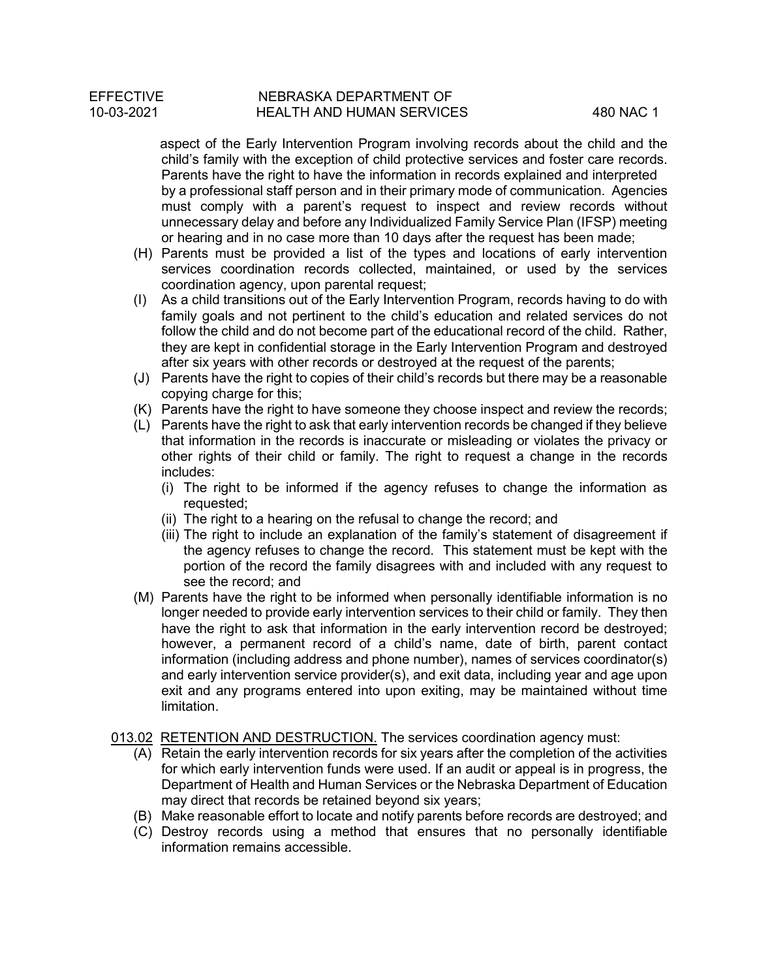aspect of the Early Intervention Program involving records about the child and the child's family with the exception of child protective services and foster care records. Parents have the right to have the information in records explained and interpreted by a professional staff person and in their primary mode of communication. Agencies must comply with a parent's request to inspect and review records without unnecessary delay and before any Individualized Family Service Plan (IFSP) meeting or hearing and in no case more than 10 days after the request has been made;

- (H) Parents must be provided a list of the types and locations of early intervention services coordination records collected, maintained, or used by the services coordination agency, upon parental request;
- (I) As a child transitions out of the Early Intervention Program, records having to do with family goals and not pertinent to the child's education and related services do not follow the child and do not become part of the educational record of the child. Rather, they are kept in confidential storage in the Early Intervention Program and destroyed after six years with other records or destroyed at the request of the parents;
- (J) Parents have the right to copies of their child's records but there may be a reasonable copying charge for this;
- (K) Parents have the right to have someone they choose inspect and review the records;
- (L) Parents have the right to ask that early intervention records be changed if they believe that information in the records is inaccurate or misleading or violates the privacy or other rights of their child or family. The right to request a change in the records includes:
	- (i) The right to be informed if the agency refuses to change the information as requested;
	- (ii) The right to a hearing on the refusal to change the record; and
	- (iii) The right to include an explanation of the family's statement of disagreement if the agency refuses to change the record. This statement must be kept with the portion of the record the family disagrees with and included with any request to see the record; and
- (M) Parents have the right to be informed when personally identifiable information is no longer needed to provide early intervention services to their child or family. They then have the right to ask that information in the early intervention record be destroyed; however, a permanent record of a child's name, date of birth, parent contact information (including address and phone number), names of services coordinator(s) and early intervention service provider(s), and exit data, including year and age upon exit and any programs entered into upon exiting, may be maintained without time limitation.
- 013.02 RETENTION AND DESTRUCTION. The services coordination agency must:
	- (A) Retain the early intervention records for six years after the completion of the activities for which early intervention funds were used. If an audit or appeal is in progress, the Department of Health and Human Services or the Nebraska Department of Education may direct that records be retained beyond six years;
	- (B) Make reasonable effort to locate and notify parents before records are destroyed; and
	- (C) Destroy records using a method that ensures that no personally identifiable information remains accessible.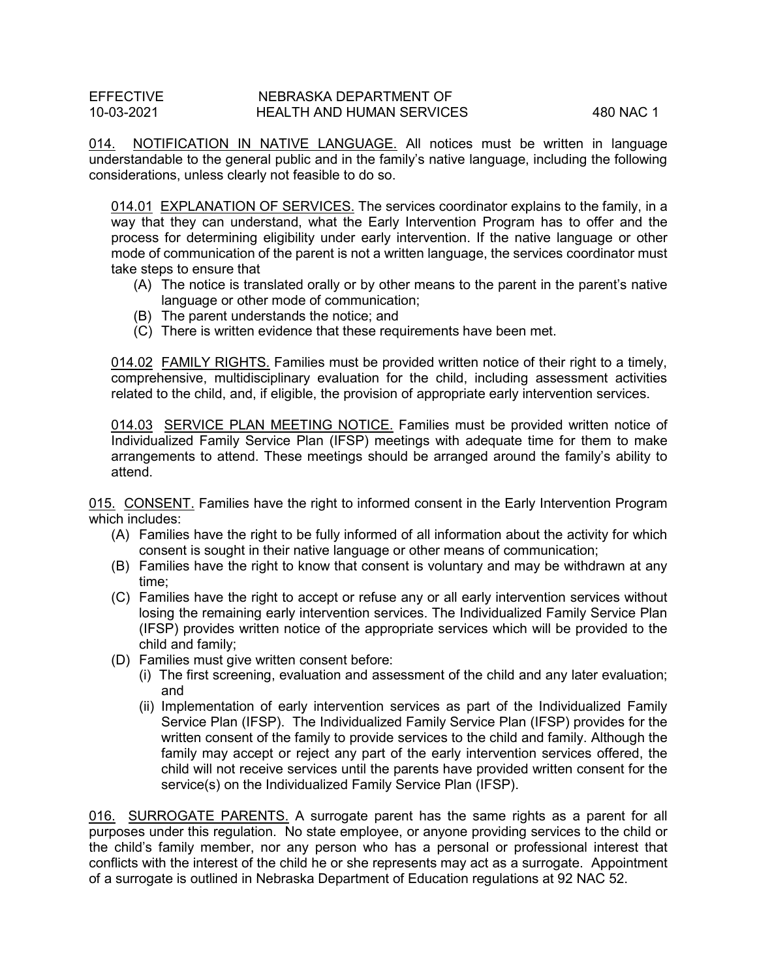014. NOTIFICATION IN NATIVE LANGUAGE. All notices must be written in language understandable to the general public and in the family's native language, including the following considerations, unless clearly not feasible to do so.

014.01 EXPLANATION OF SERVICES. The services coordinator explains to the family, in a way that they can understand, what the Early Intervention Program has to offer and the process for determining eligibility under early intervention. If the native language or other mode of communication of the parent is not a written language, the services coordinator must take steps to ensure that

- (A) The notice is translated orally or by other means to the parent in the parent's native language or other mode of communication;
- (B) The parent understands the notice; and
- (C) There is written evidence that these requirements have been met.

014.02 FAMILY RIGHTS. Families must be provided written notice of their right to a timely, comprehensive, multidisciplinary evaluation for the child, including assessment activities related to the child, and, if eligible, the provision of appropriate early intervention services.

014.03 SERVICE PLAN MEETING NOTICE. Families must be provided written notice of Individualized Family Service Plan (IFSP) meetings with adequate time for them to make arrangements to attend. These meetings should be arranged around the family's ability to attend.

015. CONSENT. Families have the right to informed consent in the Early Intervention Program which includes:

- (A) Families have the right to be fully informed of all information about the activity for which consent is sought in their native language or other means of communication;
- (B) Families have the right to know that consent is voluntary and may be withdrawn at any time;
- (C) Families have the right to accept or refuse any or all early intervention services without losing the remaining early intervention services. The Individualized Family Service Plan (IFSP) provides written notice of the appropriate services which will be provided to the child and family;
- (D) Families must give written consent before:
	- (i) The first screening, evaluation and assessment of the child and any later evaluation; and
	- (ii) Implementation of early intervention services as part of the Individualized Family Service Plan (IFSP). The Individualized Family Service Plan (IFSP) provides for the written consent of the family to provide services to the child and family. Although the family may accept or reject any part of the early intervention services offered, the child will not receive services until the parents have provided written consent for the service(s) on the Individualized Family Service Plan (IFSP).

016. SURROGATE PARENTS. A surrogate parent has the same rights as a parent for all purposes under this regulation. No state employee, or anyone providing services to the child or the child's family member, nor any person who has a personal or professional interest that conflicts with the interest of the child he or she represents may act as a surrogate. Appointment of a surrogate is outlined in Nebraska Department of Education regulations at 92 NAC 52.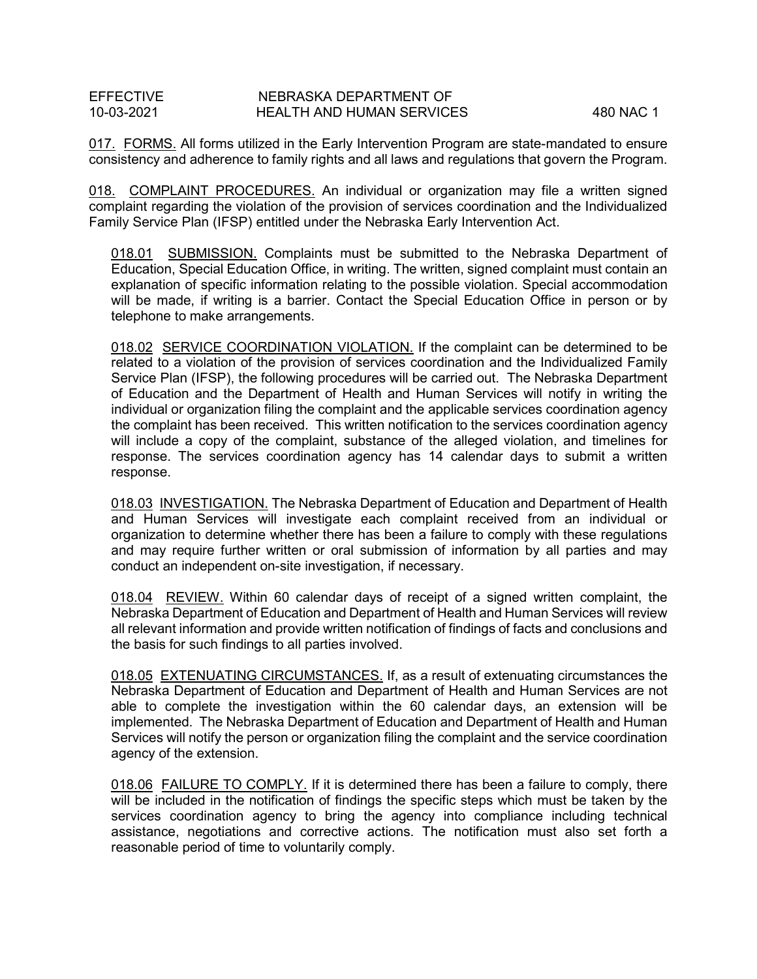017. FORMS. All forms utilized in the Early Intervention Program are state-mandated to ensure consistency and adherence to family rights and all laws and regulations that govern the Program.

018. COMPLAINT PROCEDURES. An individual or organization may file a written signed complaint regarding the violation of the provision of services coordination and the Individualized Family Service Plan (IFSP) entitled under the Nebraska Early Intervention Act.

018.01 SUBMISSION. Complaints must be submitted to the Nebraska Department of Education, Special Education Office, in writing. The written, signed complaint must contain an explanation of specific information relating to the possible violation. Special accommodation will be made, if writing is a barrier. Contact the Special Education Office in person or by telephone to make arrangements.

018.02 SERVICE COORDINATION VIOLATION. If the complaint can be determined to be related to a violation of the provision of services coordination and the Individualized Family Service Plan (IFSP), the following procedures will be carried out. The Nebraska Department of Education and the Department of Health and Human Services will notify in writing the individual or organization filing the complaint and the applicable services coordination agency the complaint has been received. This written notification to the services coordination agency will include a copy of the complaint, substance of the alleged violation, and timelines for response. The services coordination agency has 14 calendar days to submit a written response.

018.03 INVESTIGATION. The Nebraska Department of Education and Department of Health and Human Services will investigate each complaint received from an individual or organization to determine whether there has been a failure to comply with these regulations and may require further written or oral submission of information by all parties and may conduct an independent on-site investigation, if necessary.

018.04 REVIEW. Within 60 calendar days of receipt of a signed written complaint, the Nebraska Department of Education and Department of Health and Human Services will review all relevant information and provide written notification of findings of facts and conclusions and the basis for such findings to all parties involved.

018.05 EXTENUATING CIRCUMSTANCES. If, as a result of extenuating circumstances the Nebraska Department of Education and Department of Health and Human Services are not able to complete the investigation within the 60 calendar days, an extension will be implemented. The Nebraska Department of Education and Department of Health and Human Services will notify the person or organization filing the complaint and the service coordination agency of the extension.

018.06 FAILURE TO COMPLY. If it is determined there has been a failure to comply, there will be included in the notification of findings the specific steps which must be taken by the services coordination agency to bring the agency into compliance including technical assistance, negotiations and corrective actions. The notification must also set forth a reasonable period of time to voluntarily comply.